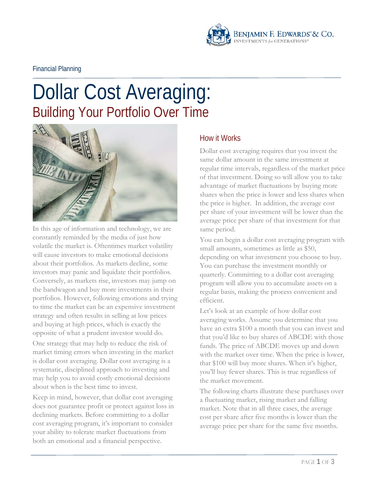

Financial Planning

# Dollar Cost Averaging: Building Your Portfolio Over Time



In this age of information and technology, we are constantly reminded by the media of just how volatile the market is. Oftentimes market volatility will cause investors to make emotional decisions about their portfolios. As markets decline, some investors may panic and liquidate their portfolios. Conversely, as markets rise, investors may jump on the bandwagon and buy more investments in their portfolios. However, following emotions and trying to time the market can be an expensive investment strategy and often results in selling at low prices and buying at high prices, which is exactly the opposite of what a prudent investor would do.

One strategy that may help to reduce the risk of market timing errors when investing in the market is dollar cost averaging. Dollar cost averaging is a systematic, disciplined approach to investing and may help you to avoid costly emotional decisions about when is the best time to invest.

Keep in mind, however, that dollar cost averaging does not guarantee profit or protect against loss in declining markets. Before committing to a dollar cost averaging program, it's important to consider your ability to tolerate market fluctuations from both an emotional and a financial perspective.

## How it Works

Dollar cost averaging requires that you invest the same dollar amount in the same investment at regular time intervals, regardless of the market price of that investment. Doing so will allow you to take advantage of market fluctuations by buying more shares when the price is lower and less shares when the price is higher. In addition, the average cost per share of your investment will be lower than the average price per share of that investment for that same period.

You can begin a dollar cost averaging program with small amounts, sometimes as little as \$50, depending on what investment you choose to buy. You can purchase the investment monthly or quarterly. Committing to a dollar cost averaging program will allow you to accumulate assets on a regular basis, making the process convenient and efficient.

Let's look at an example of how dollar cost averaging works. Assume you determine that you have an extra \$100 a month that you can invest and that you'd like to buy shares of ABCDE with those funds. The price of ABCDE moves up and down with the market over time. When the price is lower, that \$100 will buy more shares. When it's higher, you'll buy fewer shares. This is true regardless of the market movement.

The following charts illustrate these purchases over a fluctuating market, rising market and falling market. Note that in all three cases, the average cost per share after five months is lower than the average price per share for the same five months.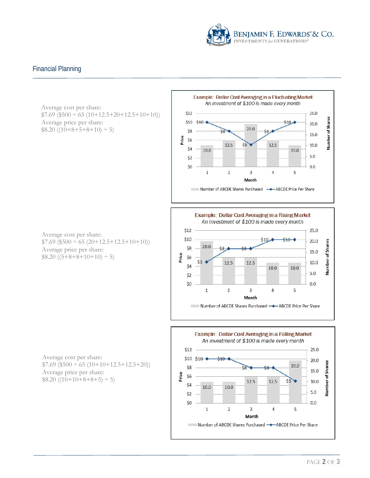

#### Financial Planning

Average cost per share:  $$7.69 ($500 \div 65 (10+12.5+20+12.5+10+10))$ Average price per share:  $$8.20 ((10+8+5+8+10) \div 5)$ 









Average cost per share:  $$7.69$  (\$500 ÷ 65 (10+10+12.5+12.5+20)) Average price per share:  $$8.20 \ ( (10+10+8+8+5) \div 5 )$